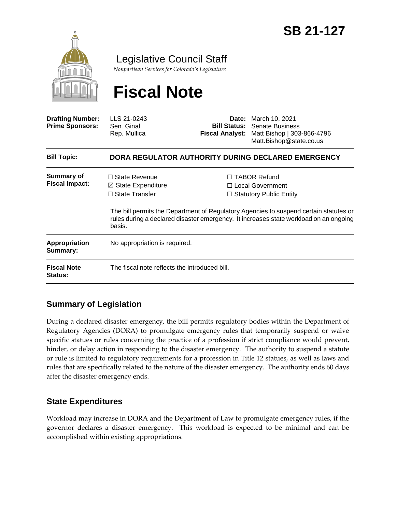

Legislative Council Staff

*Nonpartisan Services for Colorado's Legislature*

# **Fiscal Note**

| <b>Drafting Number:</b><br><b>Prime Sponsors:</b> | LLS 21-0243<br>Sen. Ginal<br>Rep. Mullica                                                | Date:<br><b>Fiscal Analyst:</b> | March 10, 2021<br><b>Bill Status:</b> Senate Business<br>Matt Bishop   303-866-4796<br>Matt.Bishop@state.co.us                                                                                                                                                |  |
|---------------------------------------------------|------------------------------------------------------------------------------------------|---------------------------------|---------------------------------------------------------------------------------------------------------------------------------------------------------------------------------------------------------------------------------------------------------------|--|
| <b>Bill Topic:</b>                                | DORA REGULATOR AUTHORITY DURING DECLARED EMERGENCY                                       |                                 |                                                                                                                                                                                                                                                               |  |
| <b>Summary of</b><br><b>Fiscal Impact:</b>        | $\Box$ State Revenue<br>$\boxtimes$ State Expenditure<br>$\Box$ State Transfer<br>basis. |                                 | □ TABOR Refund<br>$\Box$ Local Government<br>$\Box$ Statutory Public Entity<br>The bill permits the Department of Regulatory Agencies to suspend certain statutes or<br>rules during a declared disaster emergency. It increases state workload on an ongoing |  |
| Appropriation<br>Summary:                         | No appropriation is required.                                                            |                                 |                                                                                                                                                                                                                                                               |  |
| <b>Fiscal Note</b><br><b>Status:</b>              | The fiscal note reflects the introduced bill.                                            |                                 |                                                                                                                                                                                                                                                               |  |

## **Summary of Legislation**

During a declared disaster emergency, the bill permits regulatory bodies within the Department of Regulatory Agencies (DORA) to promulgate emergency rules that temporarily suspend or waive specific statues or rules concerning the practice of a profession if strict compliance would prevent, hinder, or delay action in responding to the disaster emergency. The authority to suspend a statute or rule is limited to regulatory requirements for a profession in Title 12 statues, as well as laws and rules that are specifically related to the nature of the disaster emergency. The authority ends 60 days after the disaster emergency ends.

## **State Expenditures**

Workload may increase in DORA and the Department of Law to promulgate emergency rules, if the governor declares a disaster emergency. This workload is expected to be minimal and can be accomplished within existing appropriations.